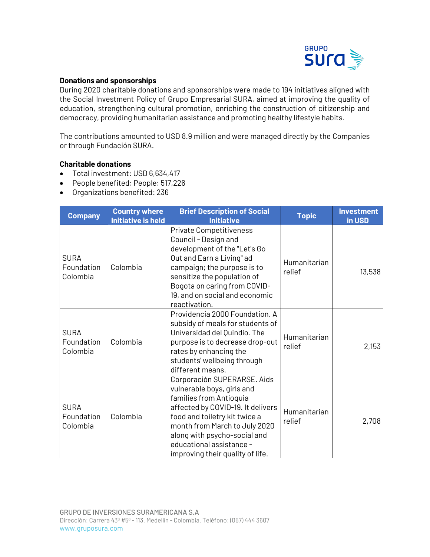

## **Donations and sponsorships**

During 2020 charitable donations and sponsorships were made to 194 initiatives aligned with the Social Investment Policy of Grupo Empresarial SURA, aimed at improving the quality of education, strengthening cultural promotion, enriching the construction of citizenship and democracy, providing humanitarian assistance and promoting healthy lifestyle habits.

The contributions amounted to USD 8.9 million and were managed directly by the Companies or through Fundación SURA.

## **Charitable donations**

- Total investment: USD 6,634,417
- People benefited: People: 517,226
- Organizations benefited: 236

| <b>Company</b>                        | <b>Country where</b><br><b>Initiative is held</b> | <b>Brief Description of Social</b><br><b>Initiative</b>                                                                                                                                                                                                                                     | <b>Topic</b>           | <b>Investment</b><br>in USD |
|---------------------------------------|---------------------------------------------------|---------------------------------------------------------------------------------------------------------------------------------------------------------------------------------------------------------------------------------------------------------------------------------------------|------------------------|-----------------------------|
| SURA<br>Foundation<br>Colombia        | Colombia                                          | Private Competitiveness<br>Council - Design and<br>development of the "Let's Go<br>Out and Earn a Living" ad<br>campaign; the purpose is to<br>sensitize the population of<br>Bogota on caring from COVID-<br>19, and on social and economic<br>reactivation.                               | Humanitarian<br>relief | 13,538                      |
| <b>SURA</b><br>Foundation<br>Colombia | Colombia                                          | Providencia 2000 Foundation. A<br>subsidy of meals for students of<br>Universidad del Quindío. The<br>purpose is to decrease drop-out<br>rates by enhancing the<br>students' wellbeing through<br>different means.                                                                          | Humanitarian<br>relief | 2,153                       |
| <b>SURA</b><br>Foundation<br>Colombia | Colombia                                          | Corporación SUPERARSE. Aids<br>vulnerable boys, girls and<br>families from Antioquia<br>affected by COVID-19. It delivers<br>food and toiletry kit twice a<br>month from March to July 2020<br>along with psycho-social and<br>educational assistance -<br>improving their quality of life. | Humanitarian<br>relief | 2,708                       |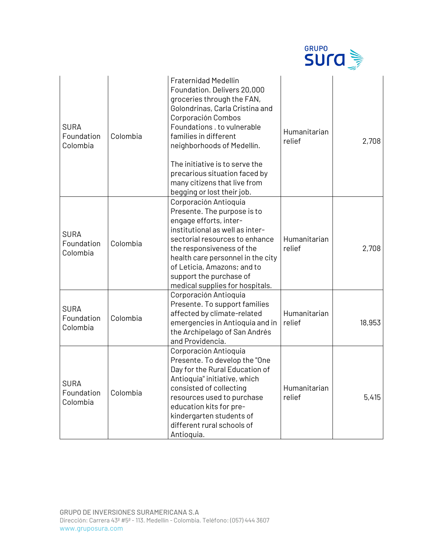

| <b>SURA</b><br>Foundation<br>Colombia | Colombia | <b>Fraternidad Medellin</b><br>Foundation. Delivers 20,000<br>groceries through the FAN,<br>Golondrinas, Carla Cristina and<br>Corporación Combos<br>Foundations . to vulnerable<br>families in different<br>neighborhoods of Medellín.<br>The initiative is to serve the<br>precarious situation faced by<br>many citizens that live from<br>begging or lost their job. | Humanitarian<br>relief | 2,708  |
|---------------------------------------|----------|--------------------------------------------------------------------------------------------------------------------------------------------------------------------------------------------------------------------------------------------------------------------------------------------------------------------------------------------------------------------------|------------------------|--------|
| <b>SURA</b><br>Foundation<br>Colombia | Colombia | Corporación Antioquia<br>Presente. The purpose is to<br>engage efforts, inter-<br>institutional as well as inter-<br>sectorial resources to enhance<br>the responsiveness of the<br>health care personnel in the city<br>of Leticia, Amazons; and to<br>support the purchase of<br>medical supplies for hospitals.                                                       | Humanitarian<br>relief | 2,708  |
| <b>SURA</b><br>Foundation<br>Colombia | Colombia | Corporación Antioquia<br>Presente. To support families<br>affected by climate-related<br>emergencies in Antioquia and in<br>the Archipelago of San Andrés<br>and Providencia.                                                                                                                                                                                            | Humanitarian<br>relief | 18,953 |
| <b>SURA</b><br>Foundation<br>Colombia | Colombia | Corporación Antioquia<br>Presente. To develop the "One<br>Day for the Rural Education of<br>Antioquia" initiative, which<br>consisted of collecting<br>resources used to purchase<br>education kits for pre-<br>kindergarten students of<br>different rural schools of<br>Antioquia.                                                                                     | Humanitarian<br>relief | 5,415  |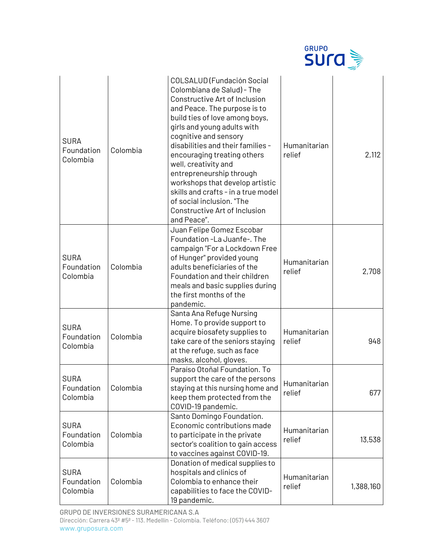|                                       |          |                                                                                                                                                                                                                                                                                                                                                                                                                                                                                                    | <b>GRUPO</b><br>sura   |           |
|---------------------------------------|----------|----------------------------------------------------------------------------------------------------------------------------------------------------------------------------------------------------------------------------------------------------------------------------------------------------------------------------------------------------------------------------------------------------------------------------------------------------------------------------------------------------|------------------------|-----------|
| <b>SURA</b><br>Foundation<br>Colombia | Colombia | COLSALUD (Fundación Social<br>Colombiana de Salud) - The<br>Constructive Art of Inclusion<br>and Peace. The purpose is to<br>build ties of love among boys,<br>girls and young adults with<br>cognitive and sensory<br>disabilities and their families -<br>encouraging treating others<br>well, creativity and<br>entrepreneurship through<br>workshops that develop artistic<br>skills and crafts - in a true model<br>of social inclusion. "The<br>Constructive Art of Inclusion<br>and Peace". | Humanitarian<br>relief | 2,112     |
| <b>SURA</b><br>Foundation<br>Colombia | Colombia | Juan Felipe Gomez Escobar<br>Foundation -La Juanfe-. The<br>campaign "For a Lockdown Free<br>of Hunger" provided young<br>adults beneficiaries of the<br>Foundation and their children<br>meals and basic supplies during<br>the first months of the<br>pandemic.                                                                                                                                                                                                                                  | Humanitarian<br>relief | 2,708     |
| <b>SURA</b><br>Foundation<br>Colombia | Colombia | Santa Ana Refuge Nursing<br>Home. To provide support to<br>acquire biosafety supplies to<br>take care of the seniors staying<br>at the refuge, such as face<br>masks, alcohol, gloves.                                                                                                                                                                                                                                                                                                             | Humanitarian<br>relief | 948       |
| <b>SURA</b><br>Foundation<br>Colombia | Colombia | Paraíso Otoñal Foundation. To<br>support the care of the persons<br>staying at this nursing home and<br>keep them protected from the<br>COVID-19 pandemic.                                                                                                                                                                                                                                                                                                                                         | Humanitarian<br>relief | 677       |
| <b>SURA</b><br>Foundation<br>Colombia | Colombia | Santo Domingo Foundation.<br>Economic contributions made<br>to participate in the private<br>sector's coalition to gain access<br>to vaccines against COVID-19.                                                                                                                                                                                                                                                                                                                                    | Humanitarian<br>relief | 13,538    |
| <b>SURA</b><br>Foundation<br>Colombia | Colombia | Donation of medical supplies to<br>hospitals and clinics of<br>Colombia to enhance their<br>capabilities to face the COVID-<br>19 pandemic.                                                                                                                                                                                                                                                                                                                                                        | Humanitarian<br>relief | 1,388,160 |

GRUPO DE INVERSIONES SURAMERICANA S.A Dirección: Carrera 43ª #5ª - 113. Medellín - Colombia. Teléfono: (057) 444 3607 www.gruposura.com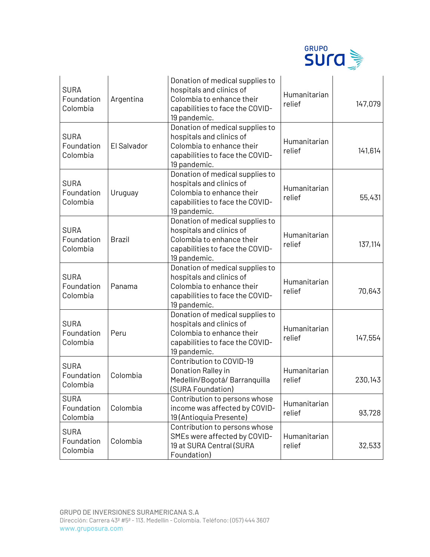

| <b>SURA</b><br>Foundation<br>Colombia | Argentina     | Donation of medical supplies to<br>hospitals and clinics of<br>Colombia to enhance their<br>capabilities to face the COVID-<br>19 pandemic. | Humanitarian<br>relief | 147,079 |
|---------------------------------------|---------------|---------------------------------------------------------------------------------------------------------------------------------------------|------------------------|---------|
| <b>SURA</b><br>Foundation<br>Colombia | El Salvador   | Donation of medical supplies to<br>hospitals and clinics of<br>Colombia to enhance their<br>capabilities to face the COVID-<br>19 pandemic. | Humanitarian<br>relief | 141,614 |
| <b>SURA</b><br>Foundation<br>Colombia | Uruguay       | Donation of medical supplies to<br>hospitals and clinics of<br>Colombia to enhance their<br>capabilities to face the COVID-<br>19 pandemic. | Humanitarian<br>relief | 55,431  |
| <b>SURA</b><br>Foundation<br>Colombia | <b>Brazil</b> | Donation of medical supplies to<br>hospitals and clinics of<br>Colombia to enhance their<br>capabilities to face the COVID-<br>19 pandemic. | Humanitarian<br>relief | 137,114 |
| <b>SURA</b><br>Foundation<br>Colombia | Panama        | Donation of medical supplies to<br>hospitals and clinics of<br>Colombia to enhance their<br>capabilities to face the COVID-<br>19 pandemic. | Humanitarian<br>relief | 70,643  |
| <b>SURA</b><br>Foundation<br>Colombia | Peru          | Donation of medical supplies to<br>hospitals and clinics of<br>Colombia to enhance their<br>capabilities to face the COVID-<br>19 pandemic. | Humanitarian<br>relief | 147,554 |
| <b>SURA</b><br>Foundation<br>Colombia | Colombia      | Contribution to COVID-19<br>Donation Ralley in<br>Medellín/Bogotá/Barranquilla<br>(SURA Foundation)                                         | Humanitarian<br>relief | 230,143 |
| <b>SURA</b><br>Foundation<br>Colombia | Colombia      | Contribution to persons whose<br>income was affected by COVID-<br>19 (Antioquia Presente)                                                   | Humanitarian<br>relief | 93,728  |
| <b>SURA</b><br>Foundation<br>Colombia | Colombia      | Contribution to persons whose<br>SMEs were affected by COVID-<br>19 at SURA Central (SURA<br>Foundation)                                    | Humanitarian<br>relief | 32,533  |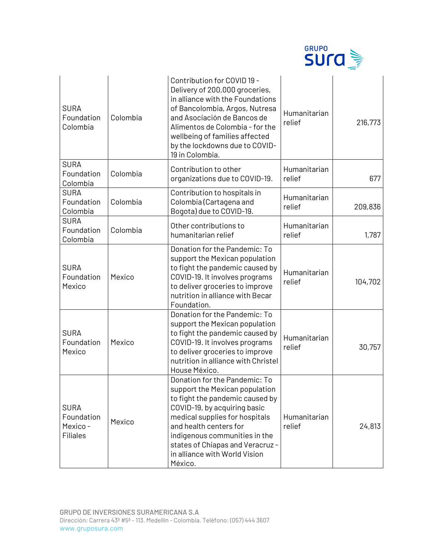

| <b>SURA</b><br>Foundation<br>Colombia                   | Colombia | Contribution for COVID 19 -<br>Delivery of 200,000 groceries,<br>in alliance with the Foundations<br>of Bancolombia, Argos, Nutresa<br>and Asociación de Bancos de<br>Alimentos de Colombia - for the<br>wellbeing of families affected<br>by the lockdowns due to COVID-<br>19 in Colombia.                    | Humanitarian<br>relief | 216,773 |
|---------------------------------------------------------|----------|-----------------------------------------------------------------------------------------------------------------------------------------------------------------------------------------------------------------------------------------------------------------------------------------------------------------|------------------------|---------|
| <b>SURA</b><br>Foundation<br>Colombia                   | Colombia | Contribution to other<br>organizations due to COVID-19.                                                                                                                                                                                                                                                         | Humanitarian<br>relief | 677     |
| <b>SURA</b><br>Foundation<br>Colombia                   | Colombia | Contribution to hospitals in<br>Colombia (Cartagena and<br>Bogota) due to COVID-19.                                                                                                                                                                                                                             | Humanitarian<br>relief | 209,836 |
| <b>SURA</b><br>Foundation<br>Colombia                   | Colombia | Other contributions to<br>humanitarian relief                                                                                                                                                                                                                                                                   | Humanitarian<br>relief | 1,787   |
| <b>SURA</b><br>Foundation<br>Mexico                     | Mexico   | Donation for the Pandemic: To<br>support the Mexican population<br>to fight the pandemic caused by<br>COVID-19. It involves programs<br>to deliver groceries to improve<br>nutrition in alliance with Becar<br>Foundation.                                                                                      | Humanitarian<br>relief | 104,702 |
| <b>SURA</b><br>Foundation<br>Mexico                     | Mexico   | Donation for the Pandemic: To<br>support the Mexican population<br>to fight the pandemic caused by<br>COVID-19. It involves programs<br>to deliver groceries to improve<br>nutrition in alliance with Christel<br>House México.                                                                                 | Humanitarian<br>relief | 30,757  |
| <b>SURA</b><br>Foundation<br>Mexico-<br><b>Filiales</b> | Mexico   | Donation for the Pandemic: To<br>support the Mexican population<br>to fight the pandemic caused by<br>COVID-19, by acquiring basic<br>medical supplies for hospitals<br>and health centers for<br>indigenous communities in the<br>states of Chiapas and Veracruz -<br>in alliance with World Vision<br>México. | Humanitarian<br>relief | 24,813  |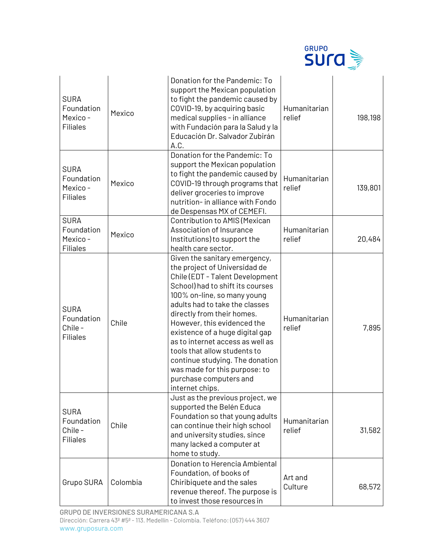

| <b>SURA</b><br>Foundation<br>Mexico-<br><b>Filiales</b> | Mexico   | Donation for the Pandemic: To<br>support the Mexican population<br>to fight the pandemic caused by<br>COVID-19, by acquiring basic<br>medical supplies - in alliance<br>with Fundación para la Salud y la<br>Educación Dr. Salvador Zubirán<br>A.C.                                                                                                                                                                                                                                         | Humanitarian<br>relief | 198,198 |
|---------------------------------------------------------|----------|---------------------------------------------------------------------------------------------------------------------------------------------------------------------------------------------------------------------------------------------------------------------------------------------------------------------------------------------------------------------------------------------------------------------------------------------------------------------------------------------|------------------------|---------|
| <b>SURA</b><br>Foundation<br>Mexico-<br><b>Filiales</b> | Mexico   | Donation for the Pandemic: To<br>support the Mexican population<br>to fight the pandemic caused by<br>COVID-19 through programs that<br>deliver groceries to improve<br>nutrition- in alliance with Fondo<br>de Despensas MX of CEMEFI.                                                                                                                                                                                                                                                     | Humanitarian<br>relief | 139,801 |
| <b>SURA</b><br>Foundation<br>Mexico-<br><b>Filiales</b> | Mexico   | Contribution to AMIS (Mexican<br>Association of Insurance<br>Institutions) to support the<br>health care sector.                                                                                                                                                                                                                                                                                                                                                                            | Humanitarian<br>relief | 20,484  |
| <b>SURA</b><br>Foundation<br>Chile-<br><b>Filiales</b>  | Chile    | Given the sanitary emergency,<br>the project of Universidad de<br>Chile (EDT - Talent Development<br>School) had to shift its courses<br>100% on-line, so many young<br>adults had to take the classes<br>directly from their homes.<br>However, this evidenced the<br>existence of a huge digital gap<br>as to internet access as well as<br>tools that allow students to<br>continue studying. The donation<br>was made for this purpose: to<br>purchase computers and<br>internet chips. | Humanitarian<br>relief | 7,895   |
| <b>SURA</b><br>Foundation<br>Chile-<br><b>Filiales</b>  | Chile    | Just as the previous project, we<br>supported the Belén Educa<br>Foundation so that young adults<br>can continue their high school<br>and university studies, since<br>many lacked a computer at<br>home to study.                                                                                                                                                                                                                                                                          | Humanitarian<br>relief | 31,582  |
| Grupo SURA                                              | Colombia | Donation to Herencia Ambiental<br>Foundation, of books of<br>Chiribiquete and the sales<br>revenue thereof. The purpose is<br>to invest those resources in                                                                                                                                                                                                                                                                                                                                  | Art and<br>Culture     | 68,572  |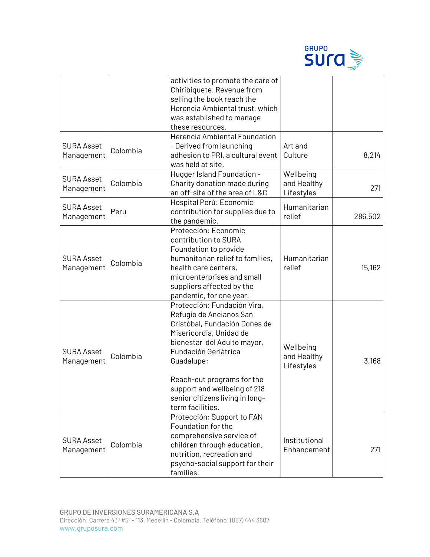

|                                 |          | activities to promote the care of<br>Chiribiquete. Revenue from<br>selling the book reach the<br>Herencia Ambiental trust, which<br>was established to manage<br>these resources.                                                                                                                            |                                        |         |
|---------------------------------|----------|--------------------------------------------------------------------------------------------------------------------------------------------------------------------------------------------------------------------------------------------------------------------------------------------------------------|----------------------------------------|---------|
| <b>SURA Asset</b><br>Management | Colombia | Herencia Ambiental Foundation<br>- Derived from launching<br>adhesion to PRI, a cultural event<br>was held at site.                                                                                                                                                                                          | Art and<br>Culture                     | 8,214   |
| <b>SURA Asset</b><br>Management | Colombia | Hugger Island Foundation -<br>Charity donation made during<br>an off-site of the area of L&C                                                                                                                                                                                                                 | Wellbeing<br>and Healthy<br>Lifestyles | 271     |
| <b>SURA Asset</b><br>Management | Peru     | Hospital Perú: Economic<br>contribution for supplies due to<br>the pandemic.                                                                                                                                                                                                                                 | Humanitarian<br>relief                 | 286,502 |
| <b>SURA Asset</b><br>Management | Colombia | Protección: Economic<br>contribution to SURA<br>Foundation to provide<br>humanitarian relief to families,<br>health care centers,<br>microenterprises and small<br>suppliers affected by the<br>pandemic, for one year.                                                                                      | Humanitarian<br>relief                 | 15,162  |
| <b>SURA Asset</b><br>Management | Colombia | Protección: Fundación Vira,<br>Refugio de Ancianos San<br>Cristóbal, Fundación Dones de<br>Misericordia, Unidad de<br>bienestar del Adulto mayor,<br>Fundación Geriátrica<br>Guadalupe:<br>Reach-out programs for the<br>support and wellbeing of 218<br>senior citizens living in long-<br>term facilities. | Wellbeing<br>and Healthy<br>Lifestyles | 3,168   |
| <b>SURA Asset</b><br>Management | Colombia | Protección: Support to FAN<br>Foundation for the<br>comprehensive service of<br>children through education,<br>nutrition, recreation and<br>psycho-social support for their<br>families.                                                                                                                     | Institutional<br>Enhancement           | 271     |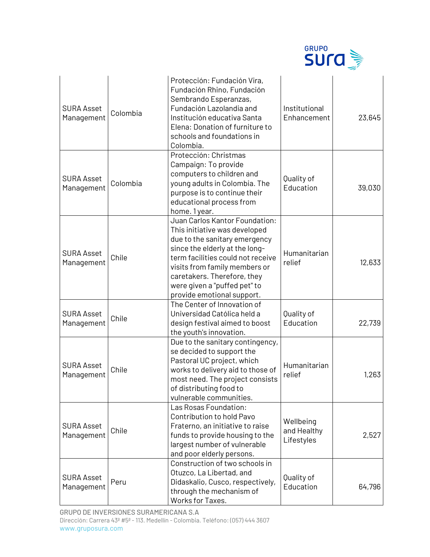

| <b>SURA Asset</b><br>Management | Colombia | Protección: Fundación Vira,<br>Fundación Rhino, Fundación<br>Sembrando Esperanzas,<br>Fundación Lazolandia and<br>Institución educativa Santa<br>Elena: Donation of furniture to<br>schools and foundations in<br>Colombia.                                                                           | Institutional<br>Enhancement           | 23,645 |
|---------------------------------|----------|-------------------------------------------------------------------------------------------------------------------------------------------------------------------------------------------------------------------------------------------------------------------------------------------------------|----------------------------------------|--------|
| <b>SURA Asset</b><br>Management | Colombia | Protección: Christmas<br>Campaign: To provide<br>computers to children and<br>young adults in Colombia. The<br>purpose is to continue their<br>educational process from<br>home. 1 year.                                                                                                              | Quality of<br>Education                | 39,030 |
| <b>SURA Asset</b><br>Management | Chile    | Juan Carlos Kantor Foundation:<br>This initiative was developed<br>due to the sanitary emergency<br>since the elderly at the long-<br>term facilities could not receive<br>visits from family members or<br>caretakers. Therefore, they<br>were given a "puffed pet" to<br>provide emotional support. | Humanitarian<br>relief                 | 12,633 |
| <b>SURA Asset</b><br>Management | Chile    | The Center of Innovation of<br>Universidad Católica held a<br>design festival aimed to boost<br>the youth's innovation.                                                                                                                                                                               | Quality of<br>Education                | 22,739 |
| <b>SURA Asset</b><br>Management | Chile    | Due to the sanitary contingency,<br>se decided to support the<br>Pastoral UC project, which<br>works to delivery aid to those of<br>most need. The project consists<br>of distributing food to<br>vulnerable communities.                                                                             | Humanitarian<br>relief                 | 1,263  |
| <b>SURA Asset</b><br>Management | Chile    | Las Rosas Foundation:<br>Contribution to hold Pavo<br>Fraterno, an initiative to raise<br>funds to provide housing to the<br>largest number of vulnerable<br>and poor elderly persons.                                                                                                                | Wellbeing<br>and Healthy<br>Lifestyles | 2,527  |
| <b>SURA Asset</b><br>Management | Peru     | Construction of two schools in<br>Otuzco, La Libertad, and<br>Didaskalio, Cusco, respectively,<br>through the mechanism of<br>Works for Taxes.                                                                                                                                                        | Quality of<br>Education                | 64,796 |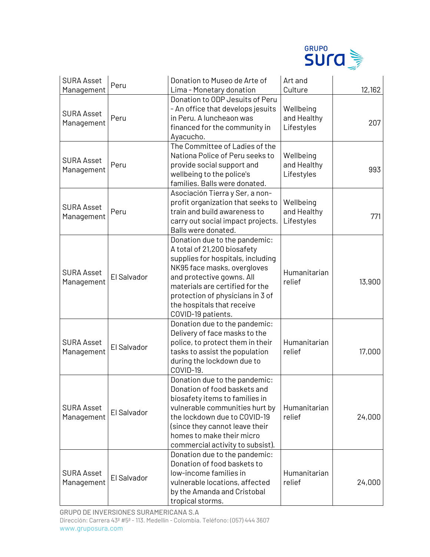

| <b>SURA Asset</b><br>Management | Peru        | Donation to Museo de Arte of<br>Lima - Monetary donation                                                                                                                                                                                                                                 | Art and<br>Culture                     | 12,162 |
|---------------------------------|-------------|------------------------------------------------------------------------------------------------------------------------------------------------------------------------------------------------------------------------------------------------------------------------------------------|----------------------------------------|--------|
| <b>SURA Asset</b><br>Management | Peru        | Donation to ODP Jesuits of Peru<br>- An office that develops jesuits<br>in Peru. A luncheaon was<br>financed for the community in<br>Ayacucho.                                                                                                                                           | Wellbeing<br>and Healthy<br>Lifestyles | 207    |
| <b>SURA Asset</b><br>Management | Peru        | The Committee of Ladies of the<br>Nationa Police of Peru seeks to<br>provide social support and<br>wellbeing to the police's<br>families. Balls were donated.                                                                                                                            | Wellbeing<br>and Healthy<br>Lifestyles | 993    |
| <b>SURA Asset</b><br>Management | Peru        | Asociación Tierra y Ser, a non-<br>profit organization that seeks to<br>train and build awareness to<br>carry out social impact projects.<br>Balls were donated.                                                                                                                         | Wellbeing<br>and Healthy<br>Lifestyles | 771    |
| <b>SURA Asset</b><br>Management | El Salvador | Donation due to the pandemic:<br>A total of 21,200 biosafety<br>supplies for hospitals, including<br>NK95 face masks, overgloves<br>and protective gowns. All<br>materials are certified for the<br>protection of physicians in 3 of<br>the hospitals that receive<br>COVID-19 patients. | Humanitarian<br>relief                 | 13,900 |
| <b>SURA Asset</b><br>Management | El Salvador | Donation due to the pandemic:<br>Delivery of face masks to the<br>police, to protect them in their<br>tasks to assist the population<br>during the lockdown due to<br>COVID-19.                                                                                                          | Humanitarian<br>relief                 | 17,000 |
| <b>SURA Asset</b><br>Management | El Salvador | Donation due to the pandemic:<br>Donation of food baskets and<br>biosafety items to families in<br>vulnerable communities hurt by<br>the lockdown due to COVID-19<br>(since they cannot leave their<br>homes to make their micro<br>commercial activity to subsist).                     | Humanitarian<br>relief                 | 24,000 |
| <b>SURA Asset</b><br>Management | El Salvador | Donation due to the pandemic:<br>Donation of food baskets to<br>low-income families in<br>vulnerable locations, affected<br>by the Amanda and Cristobal<br>tropical storms.                                                                                                              | Humanitarian<br>relief                 | 24,000 |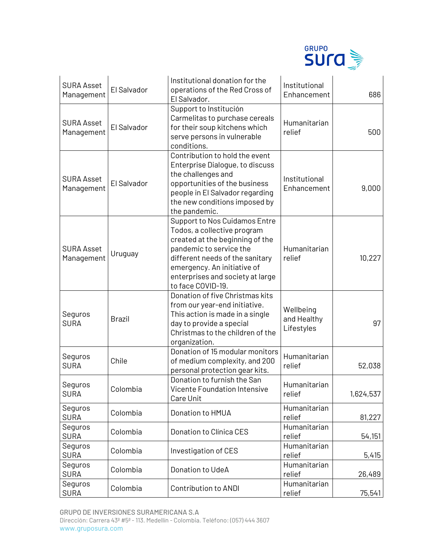

| <b>SURA Asset</b><br>Management | El Salvador   | Institutional donation for the<br>operations of the Red Cross of<br>El Salvador.                                                                                                                                                                             | Institutional<br>Enhancement           | 686       |
|---------------------------------|---------------|--------------------------------------------------------------------------------------------------------------------------------------------------------------------------------------------------------------------------------------------------------------|----------------------------------------|-----------|
| <b>SURA Asset</b><br>Management | El Salvador   | Support to Institución<br>Carmelitas to purchase cereals<br>for their soup kitchens which<br>serve persons in vulnerable<br>conditions.                                                                                                                      | Humanitarian<br>relief                 | 500       |
| <b>SURA Asset</b><br>Management | El Salvador   | Contribution to hold the event<br>Enterprise Dialogue, to discuss<br>the challenges and<br>opportunities of the business<br>people in El Salvador regarding<br>the new conditions imposed by<br>the pandemic.                                                | Institutional<br>Enhancement           | 9,000     |
| <b>SURA Asset</b><br>Management | Uruguay       | <b>Support to Nos Cuidamos Entre</b><br>Todos, a collective program<br>created at the beginning of the<br>pandemic to service the<br>different needs of the sanitary<br>emergency. An initiative of<br>enterprises and society at large<br>to face COVID-19. | Humanitarian<br>relief                 | 10,227    |
| Seguros<br><b>SURA</b>          | <b>Brazil</b> | Donation of five Christmas kits<br>from our year-end initiative.<br>This action is made in a single<br>day to provide a special<br>Christmas to the children of the<br>organization.                                                                         | Wellbeing<br>and Healthy<br>Lifestyles | 97        |
| Seguros<br><b>SURA</b>          | Chile         | Donation of 15 modular monitors<br>of medium complexity, and 200<br>personal protection gear kits.                                                                                                                                                           | Humanitarian<br>relief                 | 52,038    |
| Seguros<br>SURA                 | Colombia      | Donation to furnish the San<br><b>Vicente Foundation Intensive</b><br>Care Unit                                                                                                                                                                              | Humanitarian<br>relief                 | 1,624,537 |
| Seguros<br><b>SURA</b>          | Colombia      | Donation to HMUA                                                                                                                                                                                                                                             | Humanitarian<br>relief                 | 81,227    |
| Seguros<br><b>SURA</b>          | Colombia      | Donation to Clínica CES                                                                                                                                                                                                                                      | Humanitarian<br>relief                 | 54,151    |
| Seguros<br><b>SURA</b>          | Colombia      | Investigation of CES                                                                                                                                                                                                                                         | Humanitarian<br>relief                 | 5,415     |
| Seguros<br><b>SURA</b>          | Colombia      | Donation to UdeA                                                                                                                                                                                                                                             | Humanitarian<br>relief                 | 26,489    |
| Seguros<br><b>SURA</b>          | Colombia      | Contribution to ANDI                                                                                                                                                                                                                                         | Humanitarian<br>relief                 | 75,541    |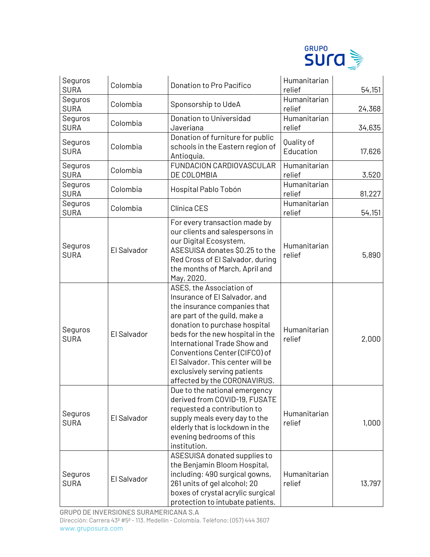

| Seguros<br><b>SURA</b> | Colombia    | Donation to Pro Pacífico                                                                                                                                                                                                                                                                                                                                             | Humanitarian<br>relief  | 54,151 |
|------------------------|-------------|----------------------------------------------------------------------------------------------------------------------------------------------------------------------------------------------------------------------------------------------------------------------------------------------------------------------------------------------------------------------|-------------------------|--------|
| Seguros<br><b>SURA</b> | Colombia    | Sponsorship to UdeA                                                                                                                                                                                                                                                                                                                                                  | Humanitarian<br>relief  | 24,368 |
| Seguros<br><b>SURA</b> | Colombia    | Donation to Universidad<br>Javeriana                                                                                                                                                                                                                                                                                                                                 | Humanitarian<br>relief  | 34,635 |
| Seguros<br><b>SURA</b> | Colombia    | Donation of furniture for public<br>schools in the Eastern region of<br>Antioquia.                                                                                                                                                                                                                                                                                   | Quality of<br>Education | 17,626 |
| Seguros<br><b>SURA</b> | Colombia    | FUNDACION CARDIOVASCULAR<br>DE COLOMBIA                                                                                                                                                                                                                                                                                                                              | Humanitarian<br>relief  | 3,520  |
| Seguros<br><b>SURA</b> | Colombia    | Hospital Pablo Tobón                                                                                                                                                                                                                                                                                                                                                 | Humanitarian<br>relief  | 81,227 |
| Seguros<br><b>SURA</b> | Colombia    | Clínica CES                                                                                                                                                                                                                                                                                                                                                          | Humanitarian<br>relief  | 54,151 |
| Seguros<br><b>SURA</b> | El Salvador | For every transaction made by<br>our clients and salespersons in<br>our Digital Ecosystem,<br>ASESUISA donates \$0.25 to the<br>Red Cross of El Salvador, during<br>the months of March, April and<br>May, 2020.                                                                                                                                                     | Humanitarian<br>relief  | 5,890  |
| Seguros<br><b>SURA</b> | El Salvador | ASES, the Association of<br>Insurance of El Salvador, and<br>the insurance companies that<br>are part of the guild, make a<br>donation to purchase hospital<br>beds for the new hospital in the<br>International Trade Show and<br>Conventions Center (CIFCO) of<br>El Salvador. This center will be<br>exclusively serving patients<br>affected by the CORONAVIRUS. | Humanitarian<br>relief  | 2,000  |
| Seguros<br><b>SURA</b> | El Salvador | Due to the national emergency<br>derived from COVID-19, FUSATE<br>requested a contribution to<br>supply meals every day to the<br>elderly that is lockdown in the<br>evening bedrooms of this<br>institution.                                                                                                                                                        | Humanitarian<br>relief  | 1,000  |
| Seguros<br><b>SURA</b> | El Salvador | ASESUISA donated supplies to<br>the Benjamin Bloom Hospital,<br>including: 490 surgical gowns,<br>261 units of gel alcohol; 20<br>boxes of crystal acrylic surgical<br>protection to intubate patients.                                                                                                                                                              | Humanitarian<br>relief  | 13,797 |

GRUPO DE INVERSIONES SURAMERICANA S.A Dirección: Carrera 43ª #5ª - 113. Medellín - Colombia. Teléfono: (057) 444 3607 www.gruposura.com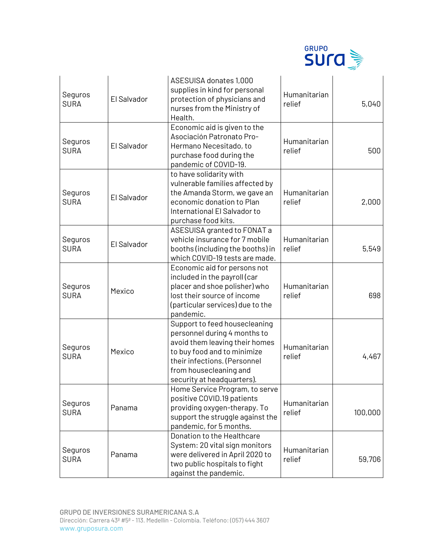

| Seguros<br><b>SURA</b> | El Salvador | ASESUISA donates 1,000<br>supplies in kind for personal<br>protection of physicians and<br>nurses from the Ministry of<br>Health.                                                                                      | Humanitarian<br>relief | 5,040   |
|------------------------|-------------|------------------------------------------------------------------------------------------------------------------------------------------------------------------------------------------------------------------------|------------------------|---------|
| Seguros<br><b>SURA</b> | El Salvador | Economic aid is given to the<br>Asociación Patronato Pro-<br>Hermano Necesitado, to<br>purchase food during the<br>pandemic of COVID-19.                                                                               | Humanitarian<br>relief | 500     |
| Seguros<br><b>SURA</b> | El Salvador | to have solidarity with<br>vulnerable families affected by<br>the Amanda Storm, we gave an<br>economic donation to Plan<br>International El Salvador to<br>purchase food kits.                                         | Humanitarian<br>relief | 2,000   |
| Seguros<br><b>SURA</b> | El Salvador | ASESUISA granted to FONAT a<br>vehicle insurance for 7 mobile<br>booths (including the booths) in<br>which COVID-19 tests are made.                                                                                    | Humanitarian<br>relief | 5,549   |
| Seguros<br><b>SURA</b> | Mexico      | Economic aid for persons not<br>included in the payroll (car<br>placer and shoe polisher) who<br>lost their source of income<br>(particular services) due to the<br>pandemic.                                          | Humanitarian<br>relief | 698     |
| Seguros<br><b>SURA</b> | Mexico      | Support to feed housecleaning<br>personnel during 4 months to<br>avoid them leaving their homes<br>to buy food and to minimize<br>their infections. (Personnel<br>from housecleaning and<br>security at headquarters). | Humanitarian<br>relief | 4,467   |
| Seguros<br><b>SURA</b> | Panama      | Home Service Program, to serve<br>positive COVID.19 patients<br>providing oxygen-therapy. To<br>support the struggle against the<br>pandemic, for 5 months.                                                            | Humanitarian<br>relief | 100,000 |
| Seguros<br><b>SURA</b> | Panama      | Donation to the Healthcare<br>System: 20 vital sign monitors<br>were delivered in April 2020 to<br>two public hospitals to fight<br>against the pandemic.                                                              | Humanitarian<br>relief | 59,706  |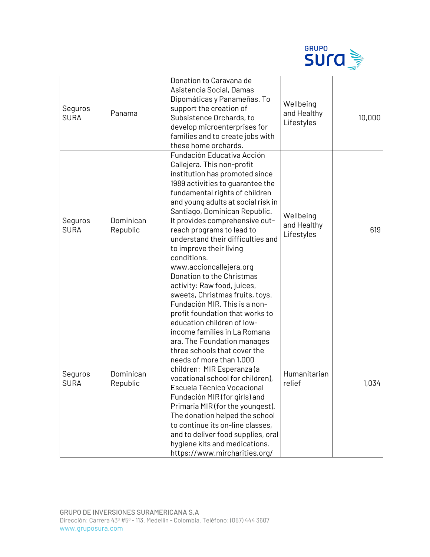

| Seguros<br><b>SURA</b> | Panama                | Donation to Caravana de<br>Asistencia Social, Damas<br>Dipomáticas y Panameñas. To<br>support the creation of<br>Subsistence Orchards, to<br>develop microenterprises for<br>families and to create jobs with<br>these home orchards.                                                                                                                                                                                                                                                                                                                                        | Wellbeing<br>and Healthy<br>Lifestyles | 10,000 |
|------------------------|-----------------------|------------------------------------------------------------------------------------------------------------------------------------------------------------------------------------------------------------------------------------------------------------------------------------------------------------------------------------------------------------------------------------------------------------------------------------------------------------------------------------------------------------------------------------------------------------------------------|----------------------------------------|--------|
| Seguros<br><b>SURA</b> | Dominican<br>Republic | Fundación Educativa Acción<br>Callejera. This non-profit<br>institution has promoted since<br>1989 activities to guarantee the<br>fundamental rights of children<br>and young adults at social risk in<br>Santiago, Dominican Republic.<br>It provides comprehensive out-<br>reach programs to lead to<br>understand their difficulties and<br>to improve their living<br>conditions.<br>www.accioncallejera.org<br>Donation to the Christmas<br>activity: Raw food, juices,<br>sweets, Christmas fruits, toys.                                                              | Wellbeing<br>and Healthy<br>Lifestyles | 619    |
| Seguros<br><b>SURA</b> | Dominican<br>Republic | Fundación MIR. This is a non-<br>profit foundation that works to<br>education children of low-<br>income families in La Romana<br>ara. The Foundation manages<br>three schools that cover the<br>needs of more than 1,000<br>children: MIR Esperanza (a<br>vocational school for children),<br>Escuela Técnico Vocacional<br>Fundación MIR (for girls) and<br>Primaria MIR (for the youngest).<br>The donation helped the school<br>to continue its on-line classes,<br>and to deliver food supplies, oral<br>hygiene kits and medications.<br>https://www.mircharities.org/ | Humanitarian<br>relief                 | 1,034  |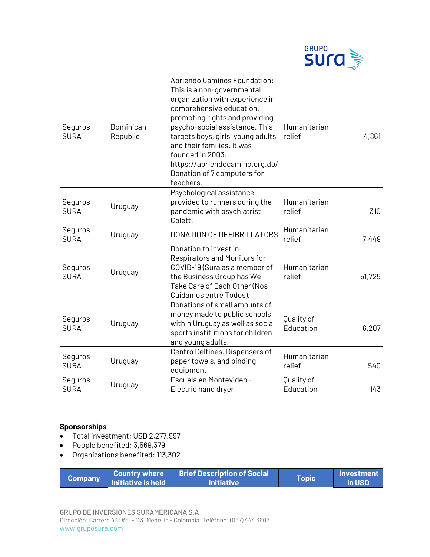

| Seguros<br><b>SURA</b> | Dominican<br>Republic | Abriendo Caminos Foundation:<br>This is a non-governmental<br>organization with experience in<br>comprehensive education,<br>promoting rights and providing<br>psycho-social assistance. This<br>targets boys, girls, young adults<br>and their families. It was<br>founded in 2003.<br>https://abriendocamino.org.do/<br>Donation of 7 computers for<br>teachers. | Humanitarian<br>relief  | 4,861  |
|------------------------|-----------------------|--------------------------------------------------------------------------------------------------------------------------------------------------------------------------------------------------------------------------------------------------------------------------------------------------------------------------------------------------------------------|-------------------------|--------|
| Seguros<br><b>SURA</b> | Uruguay               | Psychological assistance<br>provided to runners during the<br>pandemic with psychiatrist<br>Colett.                                                                                                                                                                                                                                                                | Humanitarian<br>relief  | 310    |
| Seguros<br><b>SURA</b> | Uruguay               | DONATION OF DEFIBRILLATORS                                                                                                                                                                                                                                                                                                                                         | Humanitarian<br>relief  | 7,449  |
| Seguros<br><b>SURA</b> | Uruguay               | Donation to invest in<br>Respirators and Monitors for<br>COVID-19 (Sura as a member of<br>the Business Group has We<br>Take Care of Each Other (Nos<br>Cuidamos entre Todos).                                                                                                                                                                                      | Humanitarian<br>relief  | 51,729 |
| Seguros<br><b>SURA</b> | Uruguay               | Donations of small amounts of<br>money made to public schools<br>within Uruguay as well as social<br>sports institutions for children<br>and young adults.                                                                                                                                                                                                         | Quality of<br>Education | 6,207  |
| Seguros<br><b>SURA</b> | Uruguay               | Centro Delfines. Dispensers of<br>paper towels, and binding<br>equipment.                                                                                                                                                                                                                                                                                          | Humanitarian<br>relief  | 540    |
| Seguros<br><b>SURA</b> | Uruguay               | Escuela en Montevideo -<br>Electric hand dryer                                                                                                                                                                                                                                                                                                                     | Quality of<br>Education | 143    |

## **Sponsorships**

- Total investment: USD 2,277,997
- People benefited: 3,569,379
- Organizations benefited: 113,302

| <b>Company</b> |                           | <b>Country where Brief Description of Social</b> | Topic | Investment    |
|----------------|---------------------------|--------------------------------------------------|-------|---------------|
|                | <b>Initiative is held</b> | <b>Initiative</b>                                |       | <b>in USD</b> |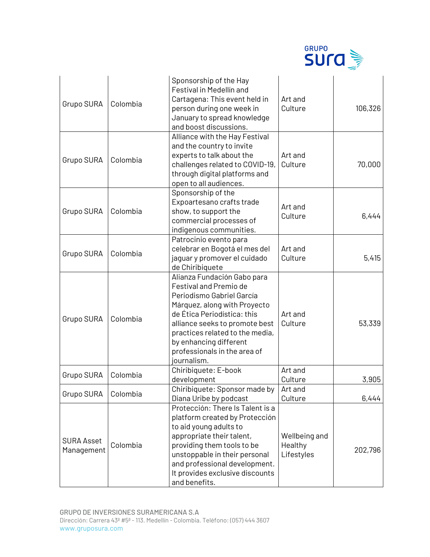

| Grupo SURA                      | Colombia | Sponsorship of the Hay<br>Festival in Medellín and<br>Cartagena: This event held in<br>person during one week in<br>January to spread knowledge<br>and boost discussions.                                                                                                                              | Art and<br>Culture                     | 106,326 |
|---------------------------------|----------|--------------------------------------------------------------------------------------------------------------------------------------------------------------------------------------------------------------------------------------------------------------------------------------------------------|----------------------------------------|---------|
| Grupo SURA                      | Colombia | Alliance with the Hay Festival<br>and the country to invite<br>experts to talk about the<br>challenges related to COVID-19,<br>through digital platforms and<br>open to all audiences.                                                                                                                 | Art and<br>Culture                     | 70,000  |
| Grupo SURA                      | Colombia | Sponsorship of the<br>Expoartesano crafts trade<br>show, to support the<br>commercial processes of<br>indigenous communities.                                                                                                                                                                          | Art and<br>Culture                     | 6,444   |
| Grupo SURA                      | Colombia | Patrocinio evento para<br>celebrar en Bogotá el mes del<br>jaguar y promover el cuidado<br>de Chiribiquete                                                                                                                                                                                             | Art and<br>Culture                     | 5,415   |
| <b>Grupo SURA</b>               | Colombia | Alianza Fundación Gabo para<br><b>Festival and Premio de</b><br>Periodismo Gabriel García<br>Márquez, along with Proyecto<br>de Ética Periodística: this<br>alliance seeks to promote best<br>practices related to the media,<br>by enhancing different<br>professionals in the area of<br>journalism. | Art and<br>Culture                     | 53,339  |
| Grupo SURA                      | Colombia | Chiribiquete: E-book<br>development                                                                                                                                                                                                                                                                    | Art and<br>Culture                     | 3,905   |
| Grupo SURA                      | Colombia | Chiribiquete: Sponsor made by<br>Diana Uribe by podcast                                                                                                                                                                                                                                                | Art and<br>Culture                     | 6,444   |
| <b>SURA Asset</b><br>Management | Colombia | Protección: There Is Talent is a<br>platform created by Protección<br>to aid young adults to<br>appropriate their talent,<br>providing them tools to be<br>unstoppable in their personal<br>and professional development.<br>It provides exclusive discounts<br>and benefits.                          | Wellbeing and<br>Healthy<br>Lifestyles | 202,796 |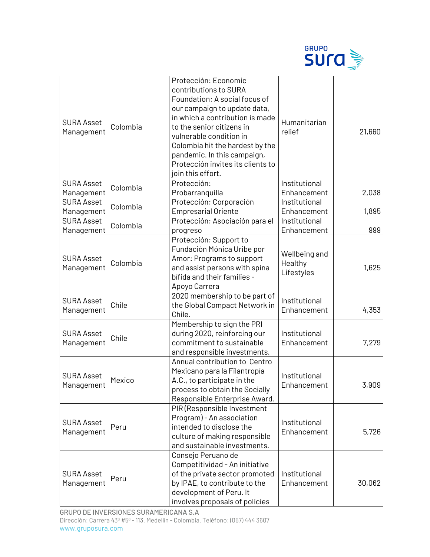

| <b>SURA Asset</b><br>Management | Colombia | Protección: Economic<br>contributions to SURA<br>Foundation: A social focus of<br>our campaign to update data,<br>in which a contribution is made<br>to the senior citizens in<br>vulnerable condition in<br>Colombia hit the hardest by the<br>pandemic. In this campaign,<br>Protección invites its clients to<br>join this effort. | Humanitarian<br>relief                 | 21,660 |
|---------------------------------|----------|---------------------------------------------------------------------------------------------------------------------------------------------------------------------------------------------------------------------------------------------------------------------------------------------------------------------------------------|----------------------------------------|--------|
| <b>SURA Asset</b>               | Colombia | Protección:                                                                                                                                                                                                                                                                                                                           | Institutional                          |        |
| Management                      |          | Probarranquilla                                                                                                                                                                                                                                                                                                                       | Enhancement                            | 2,038  |
| SURA Asset                      | Colombia | Protección: Corporación                                                                                                                                                                                                                                                                                                               | Institutional                          |        |
| Management                      |          | <b>Empresarial Oriente</b>                                                                                                                                                                                                                                                                                                            | Enhancement                            | 1,895  |
| <b>SURA Asset</b>               | Colombia | Protección: Asociación para el                                                                                                                                                                                                                                                                                                        | Institutional                          |        |
| Management                      |          | progreso                                                                                                                                                                                                                                                                                                                              | Enhancement                            | 999    |
| <b>SURA Asset</b><br>Management | Colombia | Protección: Support to<br>Fundación Mónica Uribe por<br>Amor: Programs to support<br>and assist persons with spina<br>bífida and their families -<br>Apoyo Carrera                                                                                                                                                                    | Wellbeing and<br>Healthy<br>Lifestyles | 1,625  |
| <b>SURA Asset</b><br>Management | Chile    | 2020 membership to be part of<br>the Global Compact Network in<br>Chile.                                                                                                                                                                                                                                                              | Institutional<br>Enhancement           | 4,353  |
| <b>SURA Asset</b><br>Management | Chile    | Membership to sign the PRI<br>during 2020, reinforcing our<br>commitment to sustainable<br>and responsible investments.                                                                                                                                                                                                               | Institutional<br>Enhancement           | 7,279  |
| <b>SURA Asset</b><br>Management | Mexico   | Annual contribution to Centro<br>Mexicano para la Filantropía<br>A.C., to participate in the<br>process to obtain the Socially<br>Responsible Enterprise Award.                                                                                                                                                                       | Institutional<br>Enhancement           | 3,909  |
| <b>SURA Asset</b><br>Management | Peru     | PIR (Responsible Investment<br>Program) - An association<br>intended to disclose the<br>culture of making responsible<br>and sustainable investments.                                                                                                                                                                                 | Institutional<br>Enhancement           | 5,726  |
| <b>SURA Asset</b><br>Management | Peru     | Consejo Peruano de<br>Competitividad - An initiative<br>of the private sector promoted<br>by IPAE, to contribute to the<br>development of Peru. It<br>involves proposals of policies                                                                                                                                                  | Institutional<br>Enhancement           | 30,062 |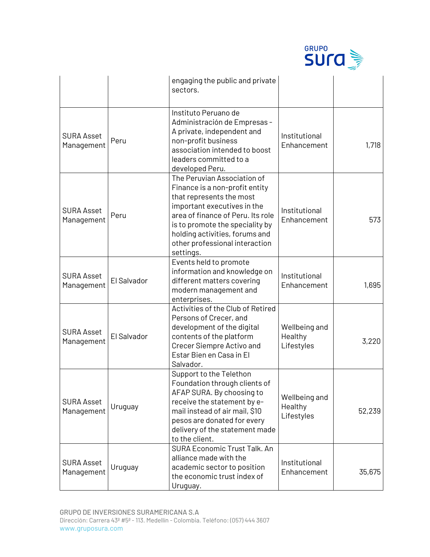

|                                 |             | engaging the public and private<br>sectors.                                                                                                                                                                                                                                       |                                        |        |
|---------------------------------|-------------|-----------------------------------------------------------------------------------------------------------------------------------------------------------------------------------------------------------------------------------------------------------------------------------|----------------------------------------|--------|
| <b>SURA Asset</b><br>Management | Peru        | Instituto Peruano de<br>Administración de Empresas -<br>A private, independent and<br>non-profit business<br>association intended to boost<br>leaders committed to a<br>developed Peru.                                                                                           | Institutional<br>Enhancement           | 1,718  |
| <b>SURA Asset</b><br>Management | Peru        | The Peruvian Association of<br>Finance is a non-profit entity<br>that represents the most<br>important executives in the<br>area of finance of Peru. Its role<br>is to promote the speciality by<br>holding activities, forums and<br>other professional interaction<br>settings. | Institutional<br>Enhancement           | 573    |
| <b>SURA Asset</b><br>Management | El Salvador | Events held to promote<br>information and knowledge on<br>different matters covering<br>modern management and<br>enterprises.                                                                                                                                                     | Institutional<br>Enhancement           | 1,695  |
| <b>SURA Asset</b><br>Management | El Salvador | Activities of the Club of Retired<br>Persons of Crecer, and<br>development of the digital<br>contents of the platform<br>Crecer Siempre Activo and<br>Estar Bien en Casa in El<br>Salvador.                                                                                       | Wellbeing and<br>Healthy<br>Lifestyles | 3,220  |
| <b>SURA Asset</b><br>Management | Uruguay     | Support to the Telethon<br>Foundation through clients of<br>AFAP SURA. By choosing to<br>receive the statement by e-<br>mail instead of air mail, \$10<br>pesos are donated for every<br>delivery of the statement made<br>to the client.                                         | Wellbeing and<br>Healthy<br>Lifestyles | 52,239 |
| <b>SURA Asset</b><br>Management | Uruguay     | SURA Economic Trust Talk. An<br>alliance made with the<br>academic sector to position<br>the economic trust index of<br>Uruguay.                                                                                                                                                  | Institutional<br>Enhancement           | 35,675 |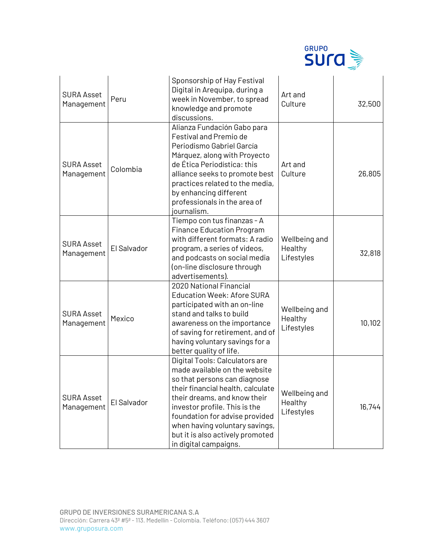

| <b>SURA Asset</b><br>Management | Peru        | Sponsorship of Hay Festival<br>Digital in Arequipa, during a<br>week in November, to spread<br>knowledge and promote<br>discussions.                                                                                                                                                                                                   | Art and<br>Culture                     | 32,500 |
|---------------------------------|-------------|----------------------------------------------------------------------------------------------------------------------------------------------------------------------------------------------------------------------------------------------------------------------------------------------------------------------------------------|----------------------------------------|--------|
| <b>SURA Asset</b><br>Management | Colombia    | Alianza Fundación Gabo para<br><b>Festival and Premio de</b><br>Periodismo Gabriel García<br>Márquez, along with Proyecto<br>de Ética Periodística: this<br>alliance seeks to promote best<br>practices related to the media,<br>by enhancing different<br>professionals in the area of<br>journalism.                                 | Art and<br>Culture                     | 26,805 |
| <b>SURA Asset</b><br>Management | El Salvador | Tiempo con tus finanzas - A<br><b>Finance Education Program</b><br>with different formats: A radio<br>program, a series of videos,<br>and podcasts on social media<br>(on-line disclosure through<br>advertisements).                                                                                                                  | Wellbeing and<br>Healthy<br>Lifestyles | 32,818 |
| <b>SURA Asset</b><br>Management | Mexico      | 2020 National Financial<br><b>Education Week: Afore SURA</b><br>participated with an on-line<br>stand and talks to build<br>awareness on the importance<br>of saving for retirement, and of<br>having voluntary savings for a<br>better quality of life.                                                                               | Wellbeing and<br>Healthy<br>Lifestyles | 10,102 |
| <b>SURA Asset</b><br>Management | El Salvador | Digital Tools: Calculators are<br>made available on the website<br>so that persons can diagnose<br>their financial health, calculate<br>their dreams, and know their<br>investor profile. This is the<br>foundation for advise provided<br>when having voluntary savings,<br>but it is also actively promoted<br>in digital campaigns. | Wellbeing and<br>Healthy<br>Lifestyles | 16,744 |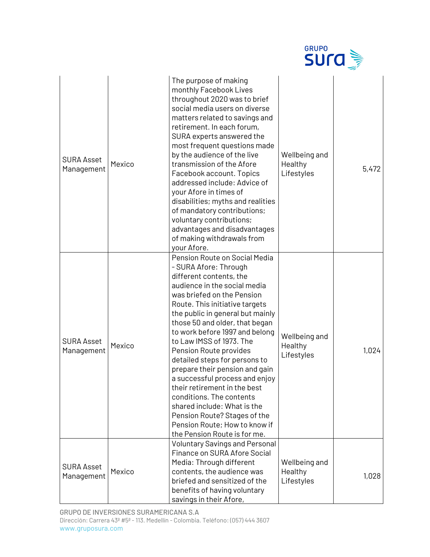|                                 |        |                                                                                                                                                                                                                                                                                                                                                                                                                                                                                                                                                                                                                                                  | <b>GRUPO</b><br>Sura                   |       |
|---------------------------------|--------|--------------------------------------------------------------------------------------------------------------------------------------------------------------------------------------------------------------------------------------------------------------------------------------------------------------------------------------------------------------------------------------------------------------------------------------------------------------------------------------------------------------------------------------------------------------------------------------------------------------------------------------------------|----------------------------------------|-------|
| <b>SURA Asset</b><br>Management | Mexico | The purpose of making<br>monthly Facebook Lives<br>throughout 2020 was to brief<br>social media users on diverse<br>matters related to savings and<br>retirement. In each forum,<br>SURA experts answered the<br>most frequent questions made<br>by the audience of the live<br>transmission of the Afore<br>Facebook account. Topics<br>addressed include: Advice of<br>your Afore in times of<br>disabilities; myths and realities<br>of mandatory contributions;<br>voluntary contributions;<br>advantages and disadvantages<br>of making withdrawals from<br>your Afore.                                                                     | Wellbeing and<br>Healthy<br>Lifestyles | 5,472 |
| <b>SURA Asset</b><br>Management | Mexico | Pension Route on Social Media<br>- SURA Afore: Through<br>different contents, the<br>audience in the social media<br>was briefed on the Pension<br>Route. This initiative targets<br>the public in general but mainly<br>those 50 and older, that began<br>to work before 1997 and belong<br>to Law IMSS of 1973. The<br>Pension Route provides<br>detailed steps for persons to<br>prepare their pension and gain<br>a successful process and enjoy<br>their retirement in the best<br>conditions. The contents<br>shared include: What is the<br>Pension Route? Stages of the<br>Pension Route; How to know if<br>the Pension Route is for me. | Wellbeing and<br>Healthy<br>Lifestyles | 1,024 |
| <b>SURA Asset</b><br>Management | Mexico | <b>Voluntary Savings and Personal</b><br>Finance on SURA Afore Social<br>Media: Through different<br>contents, the audience was<br>briefed and sensitized of the<br>benefits of having voluntary<br>savings in their Afore,                                                                                                                                                                                                                                                                                                                                                                                                                      | Wellbeing and<br>Healthy<br>Lifestyles | 1,028 |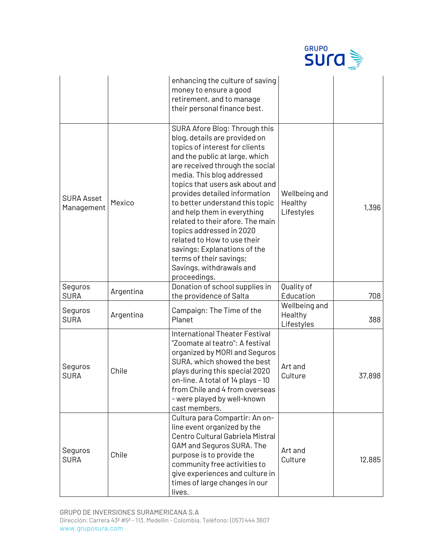|                                 |           |                                                                                                                                                                                                                                                                                                                                                                                                                                                                                                                                                 | <b>GRUPO</b><br>Sura                   |        |
|---------------------------------|-----------|-------------------------------------------------------------------------------------------------------------------------------------------------------------------------------------------------------------------------------------------------------------------------------------------------------------------------------------------------------------------------------------------------------------------------------------------------------------------------------------------------------------------------------------------------|----------------------------------------|--------|
|                                 |           | enhancing the culture of saving<br>money to ensure a good<br>retirement, and to manage<br>their personal finance best.                                                                                                                                                                                                                                                                                                                                                                                                                          |                                        |        |
| <b>SURA Asset</b><br>Management | Mexico    | SURA Afore Blog: Through this<br>blog, details are provided on<br>topics of interest for clients<br>and the public at large, which<br>are received through the social<br>media. This blog addressed<br>topics that users ask about and<br>provides detailed information<br>to better understand this topic<br>and help them in everything<br>related to their afore. The main<br>topics addressed in 2020<br>related to How to use their<br>savings; Explanations of the<br>terms of their savings;<br>Savings, withdrawals and<br>proceedings. | Wellbeing and<br>Healthy<br>Lifestyles | 1,396  |
| Seguros<br><b>SURA</b>          | Argentina | Donation of school supplies in<br>the providence of Salta                                                                                                                                                                                                                                                                                                                                                                                                                                                                                       | Quality of<br>Education                | 708    |
| Seguros<br><b>SURA</b>          | Argentina | Campaign: The Time of the<br>Planet                                                                                                                                                                                                                                                                                                                                                                                                                                                                                                             | Wellbeing and<br>Healthy<br>Lifestyles | 388    |
| Seguros<br><b>SURA</b>          | Chile     | <b>International Theater Festival</b><br>"Zoomate al teatro": A festival<br>organized by MORI and Seguros<br>SURA, which showed the best<br>plays during this special 2020<br>on-line. A total of 14 plays - 10<br>from Chile and 4 from overseas<br>- were played by well-known<br>cast members.                                                                                                                                                                                                                                               | Art and<br>Culture                     | 37,898 |
| Seguros<br><b>SURA</b>          | Chile     | Cultura para Compartir: An on-<br>line event organized by the<br>Centro Cultural Gabriela Mistral<br>GAM and Seguros SURA. The<br>purpose is to provide the<br>community free activities to<br>give experiences and culture in<br>times of large changes in our<br>lives.                                                                                                                                                                                                                                                                       | Art and<br>Culture                     | 12,885 |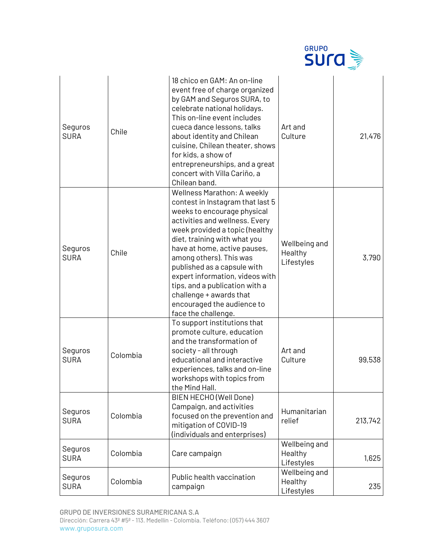|                        |          |                                                                                                                                                                                                                                                                                                                                                                                                                                                          | <b>GRUPO</b><br><b>SUra</b>            |         |
|------------------------|----------|----------------------------------------------------------------------------------------------------------------------------------------------------------------------------------------------------------------------------------------------------------------------------------------------------------------------------------------------------------------------------------------------------------------------------------------------------------|----------------------------------------|---------|
| Seguros<br><b>SURA</b> | Chile    | 18 chico en GAM: An on-line<br>event free of charge organized<br>by GAM and Seguros SURA, to<br>celebrate national holidays.<br>This on-line event includes<br>cueca dance lessons, talks<br>about identity and Chilean<br>cuisine, Chilean theater, shows<br>for kids, a show of<br>entrepreneurships, and a great<br>concert with Villa Cariño, a<br>Chilean band.                                                                                     | Art and<br>Culture                     | 21,476  |
| Seguros<br><b>SURA</b> | Chile    | <b>Wellness Marathon: A weekly</b><br>contest in Instagram that last 5<br>weeks to encourage physical<br>activities and wellness. Every<br>week provided a topic (healthy<br>diet, training with what you<br>have at home, active pauses,<br>among others). This was<br>published as a capsule with<br>expert information, videos with<br>tips, and a publication with a<br>challenge + awards that<br>encouraged the audience to<br>face the challenge. | Wellbeing and<br>Healthy<br>Lifestyles | 3,790   |
| Seguros<br><b>SURA</b> | Colombia | To support institutions that<br>promote culture, education<br>and the transformation of<br>society - all through<br>educational and interactive<br>experiences, talks and on-line<br>workshops with topics from<br>the Mind Hall.                                                                                                                                                                                                                        | Art and<br>Culture                     | 99,538  |
| Seguros<br><b>SURA</b> | Colombia | BIEN HECHO (Well Done)<br>Campaign, and activities<br>focused on the prevention and<br>mitigation of COVID-19<br>(individuals and enterprises)                                                                                                                                                                                                                                                                                                           | Humanitarian<br>relief                 | 213,742 |
| Seguros<br><b>SURA</b> | Colombia | Care campaign                                                                                                                                                                                                                                                                                                                                                                                                                                            | Wellbeing and<br>Healthy<br>Lifestyles | 1,625   |
| Seguros<br><b>SURA</b> | Colombia | Public health vaccination<br>campaign                                                                                                                                                                                                                                                                                                                                                                                                                    | Wellbeing and<br>Healthy<br>Lifestyles | 235     |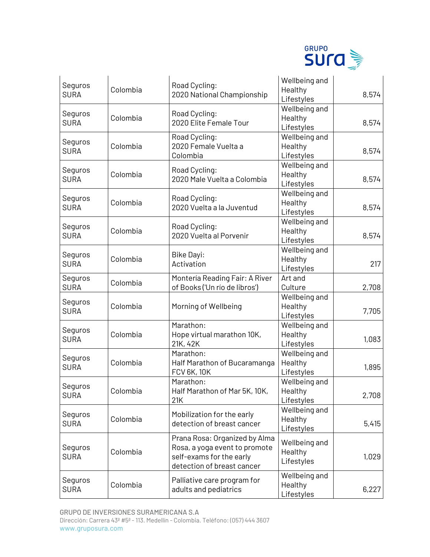

| Seguros<br><b>SURA</b> | Colombia | Road Cycling:<br>2020 National Championship                                                                              | Wellbeing and<br>Healthy<br>Lifestyles | 8,574 |
|------------------------|----------|--------------------------------------------------------------------------------------------------------------------------|----------------------------------------|-------|
| Seguros<br><b>SURA</b> | Colombia | Road Cycling:<br>2020 Elite Female Tour                                                                                  | Wellbeing and<br>Healthy<br>Lifestyles | 8,574 |
| Seguros<br><b>SURA</b> | Colombia | Road Cycling:<br>2020 Female Vuelta a<br>Colombia                                                                        | Wellbeing and<br>Healthy<br>Lifestyles | 8,574 |
| Seguros<br><b>SURA</b> | Colombia | Road Cycling:<br>2020 Male Vuelta a Colombia                                                                             | Wellbeing and<br>Healthy<br>Lifestyles | 8,574 |
| Seguros<br><b>SURA</b> | Colombia | Road Cycling:<br>2020 Vuelta a la Juventud                                                                               | Wellbeing and<br>Healthy<br>Lifestyles | 8,574 |
| Seguros<br><b>SURA</b> | Colombia | Road Cycling:<br>2020 Vuelta al Porvenir                                                                                 | Wellbeing and<br>Healthy<br>Lifestyles | 8,574 |
| Seguros<br><b>SURA</b> | Colombia | <b>Bike Dayi:</b><br>Activation                                                                                          | Wellbeing and<br>Healthy<br>Lifestyles | 217   |
| Seguros<br><b>SURA</b> | Colombia | Montería Reading Fair: A River<br>of Books ('Un río de libros')                                                          | Art and<br>Culture                     | 2,708 |
| Seguros<br><b>SURA</b> | Colombia | Morning of Wellbeing                                                                                                     | Wellbeing and<br>Healthy<br>Lifestyles | 7,705 |
| Seguros<br><b>SURA</b> | Colombia | Marathon:<br>Hope virtual marathon 10K,<br>21K, 42K                                                                      | Wellbeing and<br>Healthy<br>Lifestyles | 1,083 |
| Seguros<br><b>SURA</b> | Colombia | Marathon:<br>Half Marathon of Bucaramanga<br><b>FCV 6K, 10K</b>                                                          | Wellbeing and<br>Healthy<br>Lifestyles | 1,895 |
| Seguros<br><b>SURA</b> | Colombia | Marathon:<br>Half Marathon of Mar 5K, 10K,<br>21K                                                                        | Wellbeing and<br>Healthy<br>Lifestyles | 2,708 |
| Seguros<br><b>SURA</b> | Colombia | Mobilization for the early<br>detection of breast cancer                                                                 | Wellbeing and<br>Healthy<br>Lifestyles | 5,415 |
| Seguros<br><b>SURA</b> | Colombia | Prana Rosa: Organized by Alma<br>Rosa, a yoga event to promote<br>self-exams for the early<br>detection of breast cancer | Wellbeing and<br>Healthy<br>Lifestyles | 1,029 |
| Seguros<br><b>SURA</b> | Colombia | Palliative care program for<br>adults and pediatrics                                                                     | Wellbeing and<br>Healthy<br>Lifestyles | 6,227 |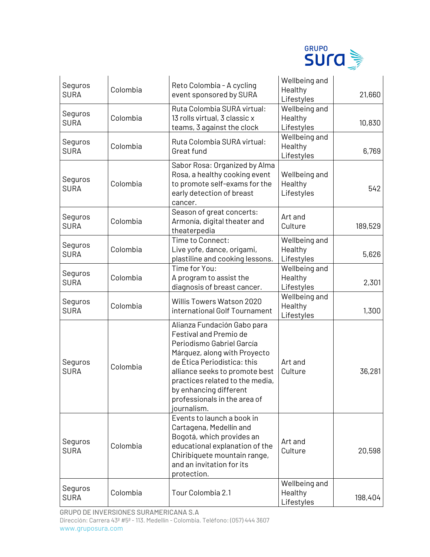

| Seguros<br><b>SURA</b> | Colombia | Reto Colombia - A cycling<br>event sponsored by SURA                                                                                                                                                                                                                                            | Wellbeing and<br>Healthy<br>Lifestyles | 21,660  |
|------------------------|----------|-------------------------------------------------------------------------------------------------------------------------------------------------------------------------------------------------------------------------------------------------------------------------------------------------|----------------------------------------|---------|
| Seguros<br><b>SURA</b> | Colombia | Ruta Colombia SURA virtual:<br>13 rolls virtual, 3 classic x<br>teams, 3 against the clock                                                                                                                                                                                                      | Wellbeing and<br>Healthy<br>Lifestyles | 10,830  |
| Seguros<br><b>SURA</b> | Colombia | Ruta Colombia SURA virtual:<br>Great fund                                                                                                                                                                                                                                                       | Wellbeing and<br>Healthy<br>Lifestyles | 6,769   |
| Seguros<br><b>SURA</b> | Colombia | Sabor Rosa: Organized by Alma<br>Rosa, a healthy cooking event<br>to promote self-exams for the<br>early detection of breast<br>cancer.                                                                                                                                                         | Wellbeing and<br>Healthy<br>Lifestyles | 542     |
| Seguros<br><b>SURA</b> | Colombia | Season of great concerts:<br>Armonía, digital theater and<br>theaterpedia                                                                                                                                                                                                                       | Art and<br>Culture                     | 189,529 |
| Seguros<br><b>SURA</b> | Colombia | Time to Connect:<br>Live yofe, dance, origami,<br>plastiline and cooking lessons.                                                                                                                                                                                                               | Wellbeing and<br>Healthy<br>Lifestyles | 5,626   |
| Seguros<br><b>SURA</b> | Colombia | Time for You:<br>A program to assist the<br>diagnosis of breast cancer.                                                                                                                                                                                                                         | Wellbeing and<br>Healthy<br>Lifestyles | 2,301   |
| Seguros<br><b>SURA</b> | Colombia | Willis Towers Watson 2020<br>international Golf Tournament                                                                                                                                                                                                                                      | Wellbeing and<br>Healthy<br>Lifestyles | 1,300   |
| Seguros<br><b>SURA</b> | Colombia | Alianza Fundación Gabo para<br>Festival and Premio de<br>Periodismo Gabriel García<br>Márquez, along with Proyecto<br>de Ética Periodística: this<br>alliance seeks to promote best<br>practices related to the media,<br>by enhancing different<br>professionals in the area of<br>journalism. | Art and<br>Culture                     | 36,281  |
| Seguros<br><b>SURA</b> | Colombia | Events to launch a book in<br>Cartagena, Medellín and<br>Bogotá, which provides an<br>educational explanation of the<br>Chiribiquete mountain range,<br>and an invitation for its<br>protection.                                                                                                | Art and<br>Culture                     | 20,598  |
| Seguros<br><b>SURA</b> | Colombia | Tour Colombia 2.1                                                                                                                                                                                                                                                                               | Wellbeing and<br>Healthy<br>Lifestyles | 198,404 |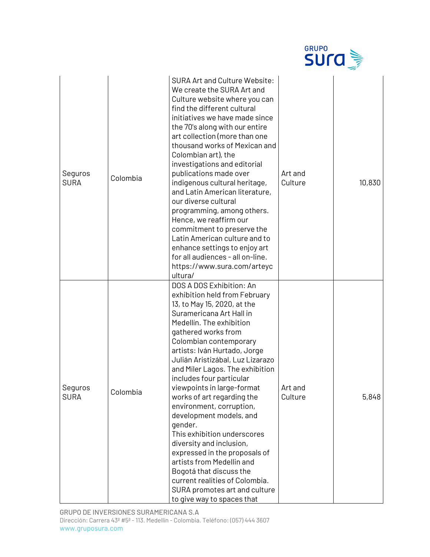|                        |          |                                                                                                                                                                                                                                                                                                                                                                                                                                                                                                                                                                                                                                                                                                                         | <b>GRUPO</b><br><b>SUrd</b> |        |
|------------------------|----------|-------------------------------------------------------------------------------------------------------------------------------------------------------------------------------------------------------------------------------------------------------------------------------------------------------------------------------------------------------------------------------------------------------------------------------------------------------------------------------------------------------------------------------------------------------------------------------------------------------------------------------------------------------------------------------------------------------------------------|-----------------------------|--------|
| Seguros<br><b>SURA</b> | Colombia | <b>SURA Art and Culture Website:</b><br>We create the SURA Art and<br>Culture website where you can<br>find the different cultural<br>initiatives we have made since<br>the 70's along with our entire<br>art collection (more than one<br>thousand works of Mexican and<br>Colombian art), the<br>investigations and editorial<br>publications made over<br>indigenous cultural heritage,<br>and Latin American literature,<br>our diverse cultural<br>programming, among others.<br>Hence, we reaffirm our<br>commitment to preserve the<br>Latin American culture and to<br>enhance settings to enjoy art<br>for all audiences - all on-line.<br>https://www.sura.com/arteyc<br>ultura/                              | Art and<br>Culture          | 10,830 |
| Seguros<br><b>SURA</b> | Colombia | DOS A DOS Exhibition: An<br>exhibition held from February<br>13, to May 15, 2020, at the<br>Suramericana Art Hall in<br>Medellín. The exhibition<br>gathered works from<br>Colombian contemporary<br>artists: Iván Hurtado, Jorge<br>Julián Aristizábal, Luz Lizarazo<br>and Miler Lagos. The exhibition<br>includes four particular<br>viewpoints in large-format<br>works of art regarding the<br>environment, corruption,<br>development models, and<br>gender.<br>This exhibition underscores<br>diversity and inclusion,<br>expressed in the proposals of<br>artists from Medellin and<br>Bogotá that discuss the<br>current realities of Colombia.<br>SURA promotes art and culture<br>to give way to spaces that | Art and<br>Culture          | 5,848  |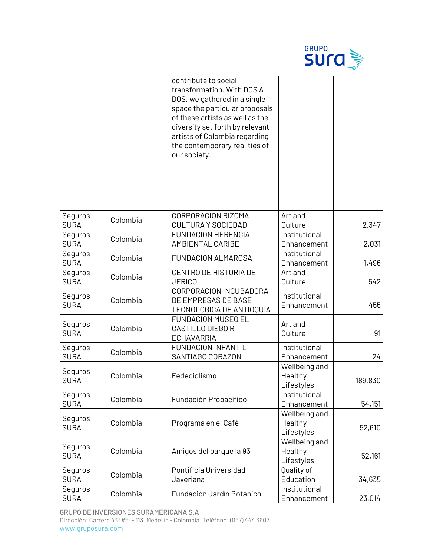|                        |          |                                                                                                                                                                                                                                                                              | <b>GRUPO</b><br>sura                   |         |
|------------------------|----------|------------------------------------------------------------------------------------------------------------------------------------------------------------------------------------------------------------------------------------------------------------------------------|----------------------------------------|---------|
|                        |          | contribute to social<br>transformation. With DOS A<br>DOS, we gathered in a single<br>space the particular proposals<br>of these artists as well as the<br>diversity set forth by relevant<br>artists of Colombia regarding<br>the contemporary realities of<br>our society. |                                        |         |
| Seguros<br><b>SURA</b> | Colombia | CORPORACION RIZOMA<br><b>CULTURA Y SOCIEDAD</b>                                                                                                                                                                                                                              | Art and<br>Culture                     | 2,347   |
| Seguros<br><b>SURA</b> | Colombia | <b>FUNDACION HERENCIA</b><br><b>AMBIENTAL CARIBE</b>                                                                                                                                                                                                                         | Institutional<br>Enhancement           | 2,031   |
| Seguros<br><b>SURA</b> | Colombia | FUNDACION ALMAROSA                                                                                                                                                                                                                                                           | Institutional<br>Enhancement           | 1,496   |
| Seguros<br><b>SURA</b> | Colombia | CENTRO DE HISTORIA DE<br><b>JERICO</b>                                                                                                                                                                                                                                       | Art and<br>Culture                     | 542     |
| Seguros<br><b>SURA</b> | Colombia | CORPORACION INCUBADORA<br>DE EMPRESAS DE BASE<br>TECNOLOGICA DE ANTIOQUIA                                                                                                                                                                                                    | Institutional<br>Enhancement           | 455     |
| Seguros<br><b>SURA</b> | Colombia | <b>FUNDACION MUSEO EL</b><br>CASTILLO DIEGO R<br><b>ECHAVARRIA</b>                                                                                                                                                                                                           | Art and<br>Culture                     | 91      |
| Seguros<br><b>SURA</b> | Colombia | <b>FUNDACION INFANTIL</b><br>SANTIAGO CORAZON                                                                                                                                                                                                                                | Institutional<br>Enhancement           | 24      |
| Seguros<br><b>SURA</b> | Colombia | Fedeciclismo                                                                                                                                                                                                                                                                 | Wellbeing and<br>Healthy<br>Lifestyles | 189,830 |
| Seguros<br><b>SURA</b> | Colombia | Fundación Propacífico                                                                                                                                                                                                                                                        | Institutional<br>Enhancement           | 54,151  |
| Seguros<br><b>SURA</b> | Colombia | Programa en el Café                                                                                                                                                                                                                                                          | Wellbeing and<br>Healthy<br>Lifestyles | 52,610  |
| Seguros<br><b>SURA</b> | Colombia | Amigos del parque la 93                                                                                                                                                                                                                                                      | Wellbeing and<br>Healthy<br>Lifestyles | 52,161  |
| Seguros<br><b>SURA</b> | Colombia | Pontificia Universidad<br>Javeriana                                                                                                                                                                                                                                          | Quality of<br>Education                | 34,635  |
| Seguros<br><b>SURA</b> | Colombia | Fundación Jardín Botanico                                                                                                                                                                                                                                                    | Institutional<br>Enhancement           | 23,014  |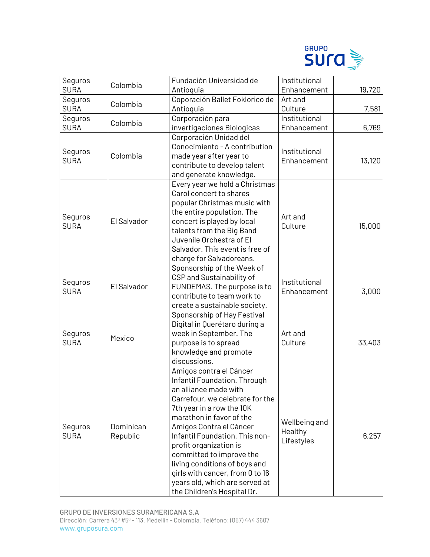

| Seguros<br><b>SURA</b> | Colombia              | Fundación Universidad de<br>Antioquia                                                                                                                                                                                                                                                                                                                                                                                                | Institutional<br>Enhancement           | 19,720 |
|------------------------|-----------------------|--------------------------------------------------------------------------------------------------------------------------------------------------------------------------------------------------------------------------------------------------------------------------------------------------------------------------------------------------------------------------------------------------------------------------------------|----------------------------------------|--------|
| Seguros<br><b>SURA</b> | Colombia              | Coporación Ballet Foklorico de<br>Antioquia                                                                                                                                                                                                                                                                                                                                                                                          | Art and<br>Culture                     | 7,581  |
| Seguros<br><b>SURA</b> | Colombia              | Corporación para<br>invertigaciones Biologicas                                                                                                                                                                                                                                                                                                                                                                                       | Institutional<br>Enhancement           | 6,769  |
| Seguros<br><b>SURA</b> | Colombia              | Corporación Unidad del<br>Conocimiento - A contribution<br>made year after year to<br>contribute to develop talent<br>and generate knowledge.                                                                                                                                                                                                                                                                                        | Institutional<br>Enhancement           | 13,120 |
| Seguros<br><b>SURA</b> | El Salvador           | Every year we hold a Christmas<br>Carol concert to shares<br>popular Christmas music with<br>the entire population. The<br>concert is played by local<br>talents from the Big Band<br>Juvenile Orchestra of El<br>Salvador. This event is free of<br>charge for Salvadoreans.                                                                                                                                                        | Art and<br>Culture                     | 15,000 |
| Seguros<br><b>SURA</b> | El Salvador           | Sponsorship of the Week of<br>CSP and Sustainability of<br>FUNDEMAS. The purpose is to<br>contribute to team work to<br>create a sustainable society.                                                                                                                                                                                                                                                                                | Institutional<br>Enhancement           | 3,000  |
| Seguros<br><b>SURA</b> | Mexico                | Sponsorship of Hay Festival<br>Digital in Querétaro during a<br>week in September. The<br>purpose is to spread<br>knowledge and promote<br>discussions.                                                                                                                                                                                                                                                                              | Art and<br>Culture                     | 33,403 |
| Seguros<br><b>SURA</b> | Dominican<br>Republic | Amigos contra el Cáncer<br>Infantil Foundation. Through<br>an alliance made with<br>Carrefour, we celebrate for the<br>7th year in a row the 10K<br>marathon in favor of the<br>Amigos Contra el Cáncer<br>Infantil Foundation. This non-<br>profit organization is<br>committed to improve the<br>living conditions of boys and<br>girls with cancer, from 0 to 16<br>years old, which are served at<br>the Children's Hospital Dr. | Wellbeing and<br>Healthy<br>Lifestyles | 6,257  |